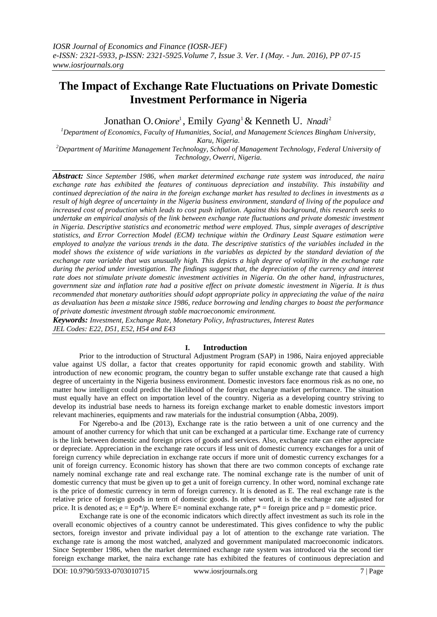# **The Impact of Exchange Rate Fluctuations on Private Domestic Investment Performance in Nigeria**

Jonathan O. *Oniore*<sup>1</sup>, Emily Gyang<sup>1</sup> & Kenneth U. Nnadi<sup>2</sup>

*<sup>1</sup>Department of Economics, Faculty of Humanities, Social, and Management Sciences Bingham University, Karu, Nigeria.*

*<sup>2</sup>Department of Maritime Management Technology, School of Management Technology, Federal University of Technology, Owerri, Nigeria.*

*Abstract: Since September 1986, when market determined exchange rate system was introduced, the naira exchange rate has exhibited the features of continuous depreciation and instability. This instability and continued depreciation of the naira in the foreign exchange market has resulted to declines in investments as a result of high degree of uncertainty in the Nigeria business environment, standard of living of the populace and increased cost of production which leads to cost push inflation. Against this background, this research seeks to undertake an empirical analysis of the link between exchange rate fluctuations and private domestic investment in Nigeria. Descriptive statistics and econometric method were employed. Thus, simple averages of descriptive statistics, and Error Correction Model (ECM) technique within the Ordinary Least Square estimation were employed to analyze the various trends in the data. The descriptive statistics of the variables included in the model shows the existence of wide variations in the variables as depicted by the standard deviation of the exchange rate variable that was unusually high. This depicts a high degree of volatility in the exchange rate during the period under investigation. The findings suggest that, the depreciation of the currency and interest rate does not stimulate private domestic investment activities in Nigeria. On the other hand, infrastructures, government size and inflation rate had a positive effect on private domestic investment in Nigeria. It is thus recommended that monetary authorities should adopt appropriate policy in appreciating the value of the naira as devaluation has been a mistake since 1986, reduce borrowing and lending charges to boast the performance of private domestic investment through stable macroeconomic environment.*

*Keywords: Investment, Exchange Rate, Monetary Policy, Infrastructures, Interest Rates JEL Codes: E22, D51, E52, H54 and E43*

# **I. Introduction**

Prior to the introduction of Structural Adjustment Program (SAP) in 1986, Naira enjoyed appreciable value against US dollar, a factor that creates opportunity for rapid economic growth and stability. With introduction of new economic program, the country began to suffer unstable exchange rate that caused a high degree of uncertainty in the Nigeria business environment. Domestic investors face enormous risk as no one, no matter how intelligent could predict the likelihood of the foreign exchange market performance. The situation must equally have an effect on importation level of the country. Nigeria as a developing country striving to develop its industrial base needs to harness its foreign exchange market to enable domestic investors import relevant machineries, equipments and raw materials for the industrial consumption (Abba, 2009).

For Ngerebo-a and Ibe (2013), Exchange rate is the ratio between a unit of one currency and the amount of another currency for which that unit can be exchanged at a particular time. Exchange rate of currency is the link between domestic and foreign prices of goods and services. Also, exchange rate can either appreciate or depreciate. Appreciation in the exchange rate occurs if less unit of domestic currency exchanges for a unit of foreign currency while depreciation in exchange rate occurs if more unit of domestic currency exchanges for a unit of foreign currency. Economic history has shown that there are two common concepts of exchange rate namely nominal exchange rate and real exchange rate. The nominal exchange rate is the number of unit of domestic currency that must be given up to get a unit of foreign currency. In other word, nominal exchange rate is the price of domestic currency in term of foreign currency. It is denoted as E. The real exchange rate is the relative price of foreign goods in term of domestic goods. In other word, it is the exchange rate adjusted for price. It is denoted as;  $e = Ep^*/p$ . Where E= nominal exchange rate,  $p^*$  = foreign price and  $p$  = domestic price.

Exchange rate is one of the economic indicators which directly affect investment as such its role in the overall economic objectives of a country cannot be underestimated. This gives confidence to why the public sectors, foreign investor and private individual pay a lot of attention to the exchange rate variation. The exchange rate is among the most watched, analyzed and government manipulated macroeconomic indicators. Since September 1986, when the market determined exchange rate system was introduced via the second tier foreign exchange market, the naira exchange rate has exhibited the features of continuous depreciation and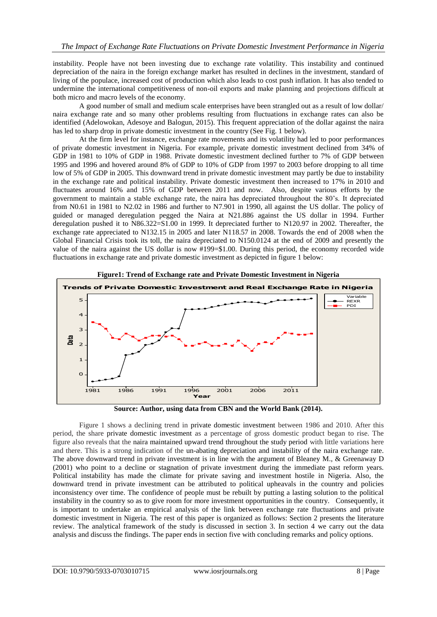instability. People have not been investing due to exchange rate volatility. This instability and continued depreciation of the naira in the foreign exchange market has resulted in declines in the investment, standard of living of the populace, increased cost of production which also leads to cost push inflation. It has also tended to undermine the international competitiveness of non-oil exports and make planning and projections difficult at both micro and macro levels of the economy.

A good number of small and medium scale enterprises have been strangled out as a result of low dollar/ naira exchange rate and so many other problems resulting from fluctuations in exchange rates can also be identified (Adelowokan, Adesoye and Balogun, 2015). This frequent appreciation of the dollar against the naira has led to sharp drop in private domestic investment in the country (See Fig. 1 below).

At the firm level for instance, exchange rate movements and its volatility had led to poor performances of private domestic investment in Nigeria. For example, private domestic investment declined from 34% of GDP in 1981 to 10% of GDP in 1988. Private domestic investment declined further to 7% of GDP between 1995 and 1996 and hovered around 8% of GDP to 10% of GDP from 1997 to 2003 before dropping to all time low of 5% of GDP in 2005. This downward trend in private domestic investment may partly be due to instability in the exchange rate and political instability. Private domestic investment then increased to 17% in 2010 and fluctuates around 16% and 15% of GDP between 2011 and now. Also, despite various efforts by the government to maintain a stable exchange rate, the naira has depreciated throughout the 80's. It depreciated from N0.61 in 1981 to N2.02 in 1986 and further to N7.901 in 1990, all against the US dollar. The policy of guided or managed deregulation pegged the Naira at N21.886 against the US dollar in 1994. Further deregulation pushed it to N86.322=S1.00 in 1999. It depreciated further to N120.97 in 2002. Thereafter, the exchange rate appreciated to N132.15 in 2005 and later N118.57 in 2008. Towards the end of 2008 when the Global Financial Crisis took its toll, the naira depreciated to N150.0124 at the end of 2009 and presently the value of the naira against the US dollar is now #199=\$1.00. During this period, the economy recorded wide fluctuations in exchange rate and private domestic investment as depicted in figure 1 below:



**Figure1: Trend of Exchange rate and Private Domestic Investment in Nigeria**

**Source: Author, using data from CBN and the World Bank (2014).**

Figure 1 shows a declining trend in private domestic investment between 1986 and 2010. After this period, the share private domestic investment as a percentage of gross domestic product began to rise. The figure also reveals that the naira maintained upward trend throughout the study period with little variations here and there. This is a strong indication of the un-abating depreciation and instability of the naira exchange rate. The above downward trend in private investment is in line with the argument of Bleaney M., & Greenaway D (2001) who point to a decline or stagnation of private investment during the immediate past reform years. Political instability has made the climate for private saving and investment hostile in Nigeria. Also, the downward trend in private investment can be attributed to political upheavals in the country and policies inconsistency over time. The confidence of people must be rebuilt by putting a lasting solution to the political instability in the country so as to give room for more investment opportunities in the country. Consequently, it is important to undertake an empirical analysis of the link between exchange rate fluctuations and private domestic investment in Nigeria. The rest of this paper is organized as follows: Section 2 presents the literature review. The analytical framework of the study is discussed in section 3. In section 4 we carry out the data analysis and discuss the findings. The paper ends in section five with concluding remarks and policy options.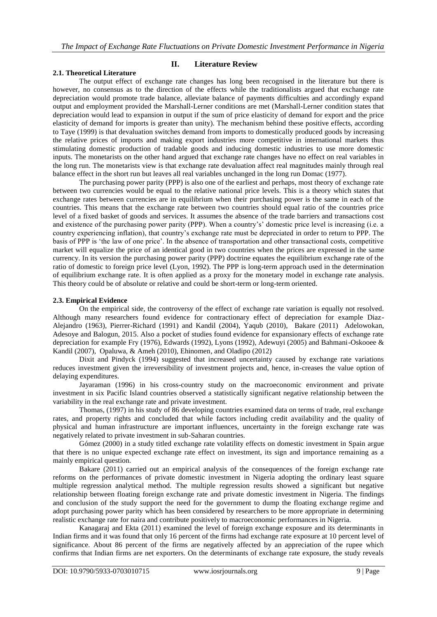# **2.1. Theoretical Literature**

**II. Literature Review**

The output effect of exchange rate changes has long been recognised in the literature but there is however, no consensus as to the direction of the effects while the traditionalists argued that exchange rate depreciation would promote trade balance, alleviate balance of payments difficulties and accordingly expand output and employment provided the Marshall-Lerner conditions are met (Marshall-Lerner condition states that depreciation would lead to expansion in output if the sum of price elasticity of demand for export and the price elasticity of demand for imports is greater than unity). The mechanism behind these positive effects, according to Taye (1999) is that devaluation switches demand from imports to domestically produced goods by increasing the relative prices of imports and making export industries more competitive in international markets thus stimulating domestic production of tradable goods and inducing domestic industries to use more domestic inputs. The monetarists on the other hand argued that exchange rate changes have no effect on real variables in the long run. The monetarists view is that exchange rate devaluation affect real magnitudes mainly through real balance effect in the short run but leaves all real variables unchanged in the long run Domac (1977).

The purchasing power parity (PPP) is also one of the earliest and perhaps, most theory of exchange rate between two currencies would be equal to the relative national price levels. This is a theory which states that exchange rates between currencies are in equilibrium when their purchasing power is the same in each of the countries. This means that the exchange rate between two countries should equal ratio of the countries price level of a fixed basket of goods and services. It assumes the absence of the trade barriers and transactions cost and existence of the purchasing power parity (PPP). When a country's' domestic price level is increasing (i.e. a country experiencing inflation), that country's exchange rate must be depreciated in order to return to PPP. The basis of PPP is 'the law of one price'. In the absence of transportation and other transactional costs, competitive market will equalize the price of an identical good in two countries when the prices are expressed in the same currency. In its version the purchasing power parity (PPP) doctrine equates the equilibrium exchange rate of the ratio of domestic to foreign price level (Lyon, 1992). The PPP is long-term approach used in the determination of equilibrium exchange rate. It is often applied as a proxy for the monetary model in exchange rate analysis. This theory could be of absolute or relative and could be short-term or long-term oriented.

# **2.3. Empirical Evidence**

On the empirical side, the controversy of the effect of exchange rate variation is equally not resolved. Although many researchers found evidence for contractionary effect of depreciation for example Diaz-Alejandro (1963), Pierrer-Richard (1991) and Kandil (2004), Yaqub (2010), Bakare (2011) Adelowokan, Adesoye and Balogun, 2015. Also a pocket of studies found evidence for expansionary effects of exchange rate depreciation for example Fry (1976), Edwards (1992), Lyons (1992), Adewuyi (2005) and Bahmani-Oskooee & Kandil (2007), Opaluwa, & Ameh (2010), Ehinomen, and Oladipo (2012)

Dixit and Pindyck (1994) suggested that increased uncertainty caused by exchange rate variations reduces investment given the irreversibility of investment projects and, hence, in-creases the value option of delaying expenditures.

Jayaraman (1996) in his cross-country study on the macroeconomic environment and private investment in six Pacific Island countries observed a statistically significant negative relationship between the variability in the real exchange rate and private investment.

Thomas, (1997) in his study of 86 developing countries examined data on terms of trade, real exchange rates, and property rights and concluded that while factors including credit availability and the quality of physical and human infrastructure are important influences, uncertainty in the foreign exchange rate was negatively related to private investment in sub-Saharan countries.

Gómez (2000) in a study titled exchange rate volatility effects on domestic investment in Spain argue that there is no unique expected exchange rate effect on investment, its sign and importance remaining as a mainly empirical question.

Bakare (2011) carried out an empirical analysis of the consequences of the foreign exchange rate reforms on the performances of private domestic investment in Nigeria adopting the ordinary least square multiple regression analytical method. The multiple regression results showed a significant but negative relationship between floating foreign exchange rate and private domestic investment in Nigeria. The findings and conclusion of the study support the need for the government to dump the floating exchange regime and adopt purchasing power parity which has been considered by researchers to be more appropriate in determining realistic exchange rate for naira and contribute positively to macroeconomic performances in Nigeria.

Kanagaraj and Ekta (2011) examined the level of foreign exchange exposure and its determinants in Indian firms and it was found that only 16 percent of the firms had exchange rate exposure at 10 percent level of significance. About 86 percent of the firms are negatively affected by an appreciation of the rupee which confirms that Indian firms are net exporters. On the determinants of exchange rate exposure, the study reveals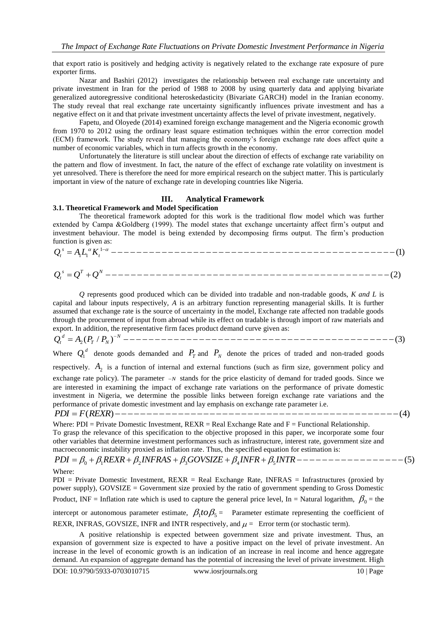that export ratio is positively and hedging activity is negatively related to the exchange rate exposure of pure exporter firms.

Nazar and Bashiri (2012) investigates the relationship between real exchange rate uncertainty and private investment in Iran for the period of 1988 to 2008 by using quarterly data and applying bivariate generalized autoregressive conditional heteroskedasticity (Bivariate GARCH) model in the Iranian economy. The study reveal that real exchange rate uncertainty significantly influences private investment and has a negative effect on it and that private investment uncertainty affects the level of private investment, negatively.

Fapetu, and Oloyede (2014) examined foreign exchange management and the Nigeria economic growth from 1970 to 2012 using the ordinary least square estimation techniques within the error correction model (ECM) framework. The study reveal that managing the economy's foreign exchange rate does affect quite a number of economic variables, which in turn affects growth in the economy.

Unfortunately the literature is still unclear about the direction of effects of exchange rate variability on the pattern and flow of investment. In fact, the nature of the effect of exchange rate volatility on investment is yet unresolved. There is therefore the need for more empirical research on the subject matter. This is particularly important in view of the nature of exchange rate in developing countries like Nigeria.

## **III. Analytical Framework**

#### **3.1. Theoretical Framework and Model Specification**

The theoretical framework adopted for this work is the traditional flow model which was further extended by Campa &Goldberg (1999). The model states that exchange uncertainty affect firm's output and investment behaviour. The model is being extended by decomposing firms output. The firm's production function is given as: 5.1. **Ineoretical Framework and Model Specification**<br>
The theoretical framework adopted for this work is the traditional flow model which was further<br>
extended by Campa &Goldberg (1999). The model states that exchange unc Campa &Goldb<br>behaviour. The 1<br>given as:<br> $\alpha K_t^{1-\alpha}$  — — — — — **Theoretical Framework and Model Specification**<br>The theoretical framework adopted for this work is the traditional flow model which was further<br>anded by Campa &Goldberg (1999). The model states that exchange uncertainty a

1 (2) *s T N Q Q Q <sup>t</sup>*

*Q* represents good produced which can be divided into tradable and non-tradable goods, *K and L* is capital and labour inputs respectively, *A* is an arbitrary function representing managerial skills. It is further assumed that exchange rate is the source of uncertainty in the model, Exchange rate affected non tradable goods through the procurement of input from abroad while its effect on tradable is through import of raw materials and export. In addition, the representative firm faces product demand curve given as: Leapling and labour inputs respectively, A is an arbitrary function representing managerial skills. It is further assumed that exchange rate is the source of uncertainty in the model, Exchange rate affected non tradable g Q represents good produced which can be divided into tradable and non-tradable goods, *K and L* is<br>al and labour inputs respectively, *A* is an arbitrary function representing managerial skills. It is further<br>med that exc

2  $\overline{a}$ 

Where  $Q_1^d$  denote goods demanded and  $P_T$  and  $P_N$  denote the prices of traded and non-traded goods

respectively.  $A_2$  is a function of internal and external functions (such as firm size, government policy and exchange rate policy). The parameter  $-N$  stands for the price elasticity of demand for traded goods. Since we are interested in examining the impact of exchange rate variations on the performance of private domestic investment in Nigeria, we determine the possible links between foreign exchange rate variations and the performance of private domestic investment and lay emphasis on exchange rate parameter i.e. respectively.  $A_2$  is a function of internal and external functions (such as firm size, government policy and exchange rate policy). The parameter  $-w$  stands for the price elasticity of demand for traded goods. Since we

Where:  $PDI = Private Domestic Investment, REXR = Real Exchange Rate and F = Functional Relationship$ . To grasp the relevance of this specification to the objective proposed in this paper, we incorporate some four other variables that determine investment performances such as infrastructure, interest rate, government size and macroeconomic instability proxied as inflation rate. Thus, the specified equation for estimation is:

# $PDI = \beta_0 + \beta_1 REXR + \beta_2 INFRAS + \beta_3 GOVSIZE + \beta_4 INFR + \beta_5 INTR --- --- --- --- --- --- --- (5)$

Where:

PDI = Private Domestic Investment, REXR = Real Exchange Rate, INFRAS = Infrastructures (proxied by power supply), GOVSIZE = Government size proxied by the ratio of government spending to Gross Domestic Product, INF = Inflation rate which is used to capture the general price level, In = Natural logarithm,  $\beta_0$  = the intercept or autonomous parameter estimate,  $\beta_1$ to $\beta_5$  = Parameter estimate representing the coefficient of

REXR, INFRAS, GOVSIZE, INFR and INTR respectively, and  $\mu =$  Error term (or stochastic term).

A positive relationship is expected between government size and private investment. Thus, an expansion of government size is expected to have a positive impact on the level of private investment. An increase in the level of economic growth is an indication of an increase in real income and hence aggregate demand. An expansion of aggregate demand has the potential of increasing the level of private investment. High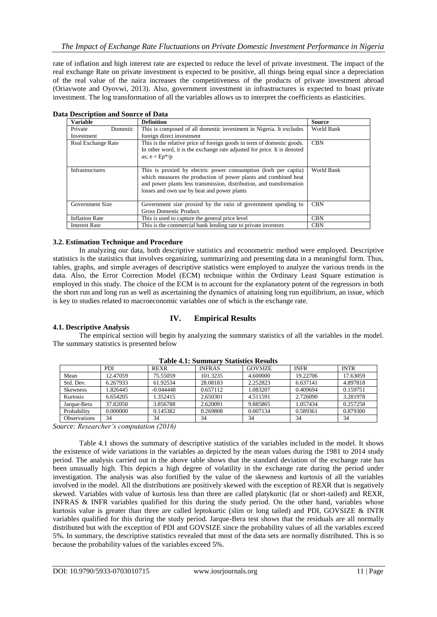rate of inflation and high interest rate are expected to reduce the level of private investment. The impact of the real exchange Rate on private investment is expected to be positive, all things being equal since a depreciation of the real value of the naira increases the competitiveness of the products of private investment abroad (Oriavwote and Oyovwi, 2013). Also, government investment in infrastructures is expected to boast private investment. The log transformation of all the variables allows us to interpret the coefficients as elasticities.

| <b>Variable</b>           | <b>Definition</b>                                                        | <b>Source</b> |
|---------------------------|--------------------------------------------------------------------------|---------------|
| Private<br>Domestic       | This is composed of all domestic investment in Nigeria. It excludes      | World Bank    |
| Investment                | foreign direct investment                                                |               |
| <b>Real Exchange Rate</b> | This is the relative price of foreign goods in term of domestic goods.   | <b>CBN</b>    |
|                           | In other word, it is the exchange rate adjusted for price. It is denoted |               |
|                           | as; $e = Ep^*/p$                                                         |               |
|                           |                                                                          |               |
| Infrastructures           | This is proxied by electric power consumption (kwh per capita)           | World Bank    |
|                           | which measures the production of power plants and combined heat          |               |
|                           | and power plants less transmission, distribution, and transformation     |               |
|                           | losses and own use by heat and power plants                              |               |
|                           |                                                                          |               |
| Government Size           | Government size proxied by the ratio of government spending to           | <b>CBN</b>    |
|                           | Gross Domestic Product.                                                  |               |
| <b>Inflation Rate</b>     | This is used to capture the general price level                          | <b>CBN</b>    |
| <b>Interest Rate</b>      | This is the commercial bank lending rate to private investors            | <b>CBN</b>    |

# **Data Description and Source of Data**

### **3.2. Estimation Technique and Procedure**

In analyzing our data, both descriptive statistics and econometric method were employed. Descriptive statistics is the statistics that involves organizing, summarizing and presenting data in a meaningful form. Thus, tables, graphs, and simple averages of descriptive statistics were employed to analyze the various trends in the data. Also, the Error Correction Model (ECM) technique within the Ordinary Least Square estimation is employed in this study. The choice of the ECM is to account for the explanatory potent of the regressors in both the short run and long run as well as ascertaining the dynamics of attaining long run equilibrium, an issue, which is key to studies related to macroeconomic variables one of which is the exchange rate.

#### **4.1. Descriptive Analysis**

# **IV. Empirical Results**

The empirical section will begin by analyzing the summary statistics of all the variables in the model. The summary statistics is presented below

|                 | <b>PDI</b> | <b>REXR</b> | <b>INFRAS</b> | <b>GOVSIZE</b> | <b>INFR</b> | <b>INTR</b> |  |
|-----------------|------------|-------------|---------------|----------------|-------------|-------------|--|
| Mean            | 12.47059   | 75.55059    | 101.3235      | 4.600000       | 19.22706    | 17.63059    |  |
| Std. Dev.       | 6.267933   | 61.92534    | 28.08183      | 2.252823       | 6.637141    | 4.897818    |  |
| <b>Skewness</b> | 1.826445   | $-0.044448$ | 0.657112      | 1.083207       | 0.409694    | 0.159751    |  |
| Kurtosis        | 6.654205   | 1.352415    | 2.650301      | 4.511591       | 2.726090    | 3.281978    |  |
| Jarque-Bera     | 37.82050   | 3.856788    | 2.620091      | 9.885865       | 1.057434    | 0.257258    |  |
| Probability     | 0.000000   | 0.145382    | 0.269808      | 0.007134       | 0.589361    | 0.879300    |  |
| Observations    | 34         | 34          | 34            | 34             | 34          | 34          |  |

**Table 4.1: Summary Statistics Results**

*Source: Researcher's computation (2016)*

Table 4.1 shows the summary of descriptive statistics of the variables included in the model. It shows the existence of wide variations in the variables as depicted by the mean values during the 1981 to 2014 study period. The analysis carried out in the above table shows that the standard deviation of the exchange rate has been unusually high. This depicts a high degree of volatility in the exchange rate during the period under investigation. The analysis was also fortified by the value of the skewness and kurtosis of all the variables involved in the model. All the distributions are positively skewed with the exception of REXR that is negatively skewed. Variables with value of kurtosis less than three are called platykurtic (fat or short-tailed) and REXR, INFRAS & INFR variables qualified for this during the study period. On the other hand, variables whose kurtosis value is greater than three are called leptokurtic (slim or long tailed) and PDI, GOVSIZE & INTR variables qualified for this during the study period. Jarque-Bera test shows that the residuals are all normally distributed but with the exception of PDI and GOVSIZE since the probability values of all the variables exceed 5%. In summary, the descriptive statistics revealed that most of the data sets are normally distributed. This is so because the probability values of the variables exceed 5%.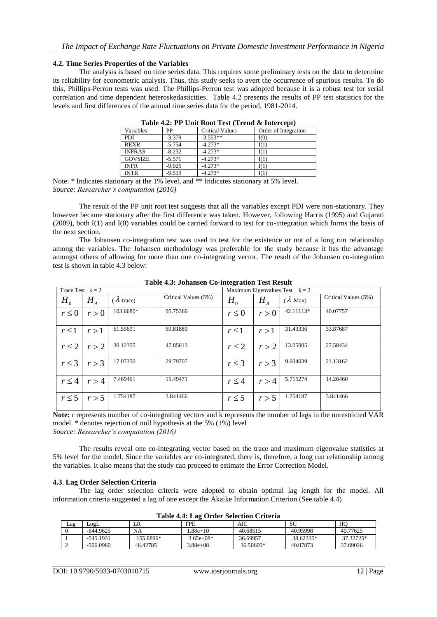#### **4.2. Time Series Properties of the Variables**

The analysis is based on time series data. This requires some preliminary tests on the data to determine its reliability for econometric analysis. Thus, this study seeks to avert the occurrence of spurious results. To do this, Phillips-Perron tests was used. The Phillips-Perron test was adopted because it is a robust test for serial correlation and time dependent heteroskedasticities. Table 4.2 presents the results of PP test statistics for the levels and first differences of the annual time series data for the period, 1981-2014.

| TWO IS THE LATTER THROUGH TO THE LATTER OF THE LATTER THAN $\sim$ |          |                        |                      |  |  |
|-------------------------------------------------------------------|----------|------------------------|----------------------|--|--|
| Variables                                                         | PP       | <b>Critical Values</b> | Order of Integration |  |  |
| <b>PDI</b>                                                        | $-3.379$ | $-3.553**$             | I(0)                 |  |  |
| <b>REXR</b>                                                       | $-5.754$ | $-4.273*$              | I(1)                 |  |  |
| <b>INFRAS</b>                                                     | $-8.232$ | $-4.273*$              | I(1)                 |  |  |
| <b>GOVSIZE</b>                                                    | $-5.571$ | $-4.273*$              | I(1)                 |  |  |
| <b>INFR</b>                                                       | $-9.025$ | $-4.273*$              | I(1)                 |  |  |
| <b>INTR</b>                                                       | $-9.519$ | $-4.273*$              | I(1)                 |  |  |
|                                                                   |          |                        |                      |  |  |

**Table 4.2: PP Unit Root Test (Trend & Intercept)**

Note: \* Indicates stationary at the 1% level, and \*\* Indicates stationary at 5% level. *Source: Researcher's computation (2016)*

The result of the PP unit root test suggests that all the variables except PDI were non-stationary. They however became stationary after the first difference was taken. However, following Harris (1995) and Gujarati (2009), both I(1) and I(0) variables could be carried forward to test for co-integration which forms the basis of the next section.

The Johansen co-integration test was used to test for the existence or not of a long run relationship among the variables. The Johansen methodology was preferable for the study because it has the advantage amongst others of allowing for more than one co-integrating vector. The result of the Johansen co-integration test is shown in table 4.3 below:

| Trace Test $k = 2$ |         |                  | Maximum Eigenvalues Test $k = 2$ |                |       |                |                      |
|--------------------|---------|------------------|----------------------------------|----------------|-------|----------------|----------------------|
| H <sub>0</sub>     | $H_{A}$ | $\lambda$ trace) | Critical Values (5%)             | H <sub>0</sub> | $H_A$ | $\lambda$ Max) | Critical Values (5%) |
| $r \leq 0$         | r > 0   | 103.6680*        | 95.75366                         | $r \leq 0$     | r > 0 | 42.11113*      | 40.07757             |
| $r \leq 1$         | r > 1   | 61.55691         | 69.81889                         | $r \leq 1$     | r > 1 | 31.43336       | 33.87687             |
| $r \leq 2$         | r > 2   | 30.12355         | 47.85613                         | $r \leq 2$     | r > 2 | 13.05005       | 27.58434             |
| $r \leq 3$         | r > 3   | 17.07350         | 29.79707                         | $r \leq 3$     | r > 3 | 9.604039       | 21.13162             |
| r < 4              | r > 4   | 7.469461         | 15.49471                         | $r \leq 4$     | r > 4 | 5.715274       | 14.26460             |
| $r \leq 5$         | r > 5   | 1.754187         | 3.841466                         | $r \leq 5$     | r > 5 | 1.754187       | 3.841466             |

**Table 4.3: Johansen Co-integration Test Result**

**Note: r** represents number of co-integrating vectors and k represents the number of lags in the unrestricted VAR model. \* denotes rejection of null hypothesis at the 5% (1%) level *Source: Researcher's computation (2016)*

The results reveal one co-integrating vector based on the trace and maximum eigenvalue statistics at 5% level for the model. Since the variables are co-integrated, there is, therefore, a long run relationship among the variables. It also means that the study can proceed to estimate the Error Correction Model.

#### **4.3**. **Lag Order Selection Criteria**

The lag order selection criteria were adopted to obtain optimal lag length for the model. All information criteria suggested a lag of one except the Akaike Information Criterion (See table 4.4)

| Lag | LogL        | LR        | FPE         | AIC       | SC        | HO        |
|-----|-------------|-----------|-------------|-----------|-----------|-----------|
|     | $-644.9625$ | <b>NA</b> | $.88e+10$   | 40.68515  | 40.95998  | 40.77625  |
|     | $-545.1931$ | 155.8896* | $3.65e+08*$ | 36.69957  | 38.62335* | 37.33725* |
|     | $-506.0960$ | 46.42785  | $.88e+08$   | 36.50600* | 40.07873  | 37.69026  |

**Table 4.4: Lag Order Selection Criteria**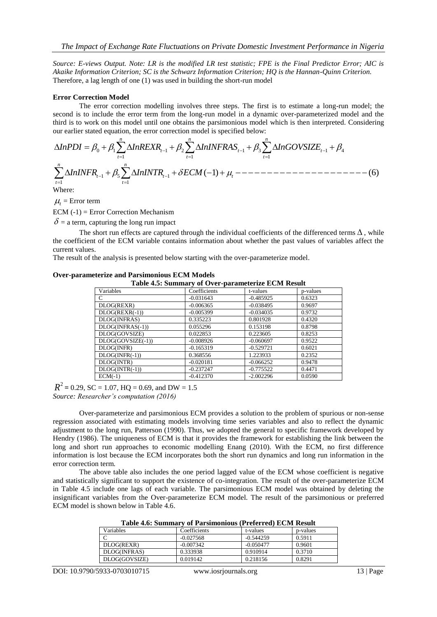*Source: E-views Output. Note: LR is the modified LR test statistic; FPE is the Final Predictor Error; AIC is Akaike Information Criterion; SC is the Schwarz Information Criterion; HQ is the Hannan-Quinn Criterion.* Therefore, a lag length of one (1) was used in building the short-run model

#### **Error Correction Model**

The error correction modelling involves three steps. The first is to estimate a long-run model; the second is to include the error term from the long-run model in a dynamic over-parameterized model and the third is to work on this model until one obtains the parsimonious model which is then interpreted. Considering our third is to work on this model until one obtains the parsimonious model which is then interpreted. Considering our earlier stated equation, the error correction model is specified below:<br>A L:  $PDI = P + P\sum_{i=1}^{n} A L \cdot PEXP$   $PPI =$ 

our earlier stated equation, the error correction model is specified below: 0 1 1 2 1 3 1 4 *t t t* 1 1 1 *t t t* 1 5 1 1 1 ( 1) (6) *n n t t t t t InINFR InINTR ECM* Where:

 $\mu_t$  = Error term

 $ECM (-1) = Error Correction Mechanism$ 

 $\delta$  = a term, capturing the long run impact

The short run effects are captured through the individual coefficients of the differenced terms  $\Delta$ , while the coefficient of the ECM variable contains information about whether the past values of variables affect the current values.

The result of the analysis is presented below starting with the over-parameterize model.

#### **Over-parameterize and Parsimonious ECM Models**

**Table 4.5: Summary of Over-parameterize ECM Result**

| Variables         | Coefficients | t-values    | p-values |
|-------------------|--------------|-------------|----------|
| C                 | $-0.031643$  | $-0.485925$ | 0.6323   |
| DLOG(REXR)        | $-0.006365$  | $-0.038495$ | 0.9697   |
| $DLOG(REXR(-1))$  | $-0.005399$  | $-0.034035$ | 0.9732   |
| DLOG(INFRAS)      | 0.335223     | 0.801928    | 0.4320   |
| DLOG(INFRAS(-1))  | 0.055296     | 0.153198    | 0.8798   |
| DLOG(GOVSIZE)     | 0.022853     | 0.223605    | 0.8253   |
| DLOG(GOVSIZE(-1)) | $-0.008926$  | $-0.060697$ | 0.9522   |
| DLOG(INFR)        | $-0.165319$  | $-0.529721$ | 0.6021   |
| $DLOG(NFR(-1))$   | 0.368556     | 1.223933    | 0.2352   |
| DLOG(INTR)        | $-0.020181$  | $-0.066252$ | 0.9478   |
| $DLOG(NTR(-1))$   | $-0.237247$  | $-0.775522$ | 0.4471   |
| $ECM(-1)$         | $-0.412370$  | $-2.002296$ | 0.0590   |

 $R^2$  = 0.29, SC = 1.07, HQ = 0.69, and DW = 1.5 *Source: Researcher's computation (2016)*

Over-parameterize and parsimonious ECM provides a solution to the problem of spurious or non-sense regression associated with estimating models involving time series variables and also to reflect the dynamic adjustment to the long run, Patterson (1990). Thus, we adopted the general to specific framework developed by Hendry (1986). The uniqueness of ECM is that it provides the framework for establishing the link between the long and short run approaches to economic modelling Enang (2010). With the ECM, no first difference information is lost because the ECM incorporates both the short run dynamics and long run information in the error correction term.

The above table also includes the one period lagged value of the ECM whose coefficient is negative and statistically significant to support the existence of co-integration. The result of the over-parameterize ECM in Table 4.5 include one lags of each variable. The parsimonious ECM model was obtained by deleting the insignificant variables from the Over-parameterize ECM model. The result of the parsimonious or preferred ECM model is shown below in Table 4.6.

| Variables     | Coefficients | t-values    | p-values |
|---------------|--------------|-------------|----------|
|               | $-0.027568$  | $-0.544259$ | 0.5911   |
| DLOG(REXR)    | $-0.007342$  | $-0.050477$ | 0.9601   |
| DLOG(INFRAS)  | 0.333938     | 0.910914    | 0.3710   |
| DLOG(GOVSIZE) | 0.019142     | 0.218156    | 0.8291   |

**Table 4.6: Summary of Parsimonious (Preferred) ECM Result**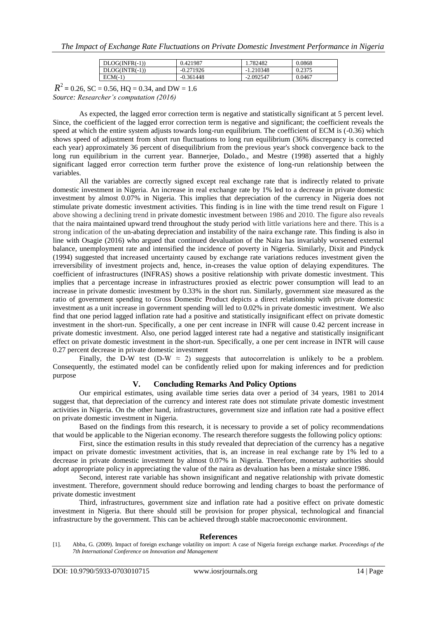| $DLOG(NFR(-1))$  | 0.421987    | .782482     | 0.0868 |
|------------------|-------------|-------------|--------|
| $DLOG(INTR(-1))$ | $-0.271926$ | $-1.210348$ | 0.2375 |
| $ECM(-1)$        | $-0.361448$ | $-2.092547$ | 0.0467 |

 $R^2$  = 0.26, SC = 0.56, HQ = 0.34, and DW = 1.6 *Source: Researcher's computation (2016)*

As expected, the lagged error correction term is negative and statistically significant at 5 percent level. Since, the coefficient of the lagged error correction term is negative and significant; the coefficient reveals the speed at which the entire system adjusts towards long-run equilibrium. The coefficient of ECM is (-0.36) which shows speed of adjustment from short run fluctuations to long run equilibrium (36% discrepancy is corrected each year) approximately 36 percent of disequilibrium from the previous year's shock convergence back to the long run equilibrium in the current year. Bannerjee, Dolado., and Mestre (1998) asserted that a highly significant lagged error correction term further prove the existence of long-run relationship between the variables.

All the variables are correctly signed except real exchange rate that is indirectly related to private domestic investment in Nigeria. An increase in real exchange rate by 1% led to a decrease in private domestic investment by almost 0.07% in Nigeria. This implies that depreciation of the currency in Nigeria does not stimulate private domestic investment activities. This finding is in line with the time trend result on Figure 1 above showing a declining trend in private domestic investment between 1986 and 2010. The figure also reveals that the naira maintained upward trend throughout the study period with little variations here and there. This is a strong indication of the un-abating depreciation and instability of the naira exchange rate. This finding is also in line with Osagie (2016) who argued that continued devaluation of the Naira has invariably worsened external balance, unemployment rate and intensified the incidence of poverty in Nigeria. Similarly, Dixit and Pindyck (1994) suggested that increased uncertainty caused by exchange rate variations reduces investment given the irreversibility of investment projects and, hence, in-creases the value option of delaying expenditures. The coefficient of infrastructures (INFRAS) shows a positive relationship with private domestic investment. This implies that a percentage increase in infrastructures proxied as electric power consumption will lead to an increase in private domestic investment by 0.33% in the short run. Similarly, government size measured as the ratio of government spending to Gross Domestic Product depicts a direct relationship with private domestic investment as a unit increase in government spending will led to 0.02% in private domestic investment. We also find that one period lagged inflation rate had a positive and statistically insignificant effect on private domestic investment in the short-run. Specifically, a one per cent increase in INFR will cause 0.42 percent increase in private domestic investment. Also, one period lagged interest rate had a negative and statistically insignificant effect on private domestic investment in the short-run. Specifically, a one per cent increase in INTR will cause 0.27 percent decrease in private domestic investment

Finally, the D-W test (D-W  $\approx$  2) suggests that autocorrelation is unlikely to be a problem. Consequently, the estimated model can be confidently relied upon for making inferences and for prediction purpose

## **V. Concluding Remarks And Policy Options**

Our empirical estimates, using available time series data over a period of 34 years, 1981 to 2014 suggest that, that depreciation of the currency and interest rate does not stimulate private domestic investment activities in Nigeria. On the other hand, infrastructures, government size and inflation rate had a positive effect on private domestic investment in Nigeria.

Based on the findings from this research, it is necessary to provide a set of policy recommendations that would be applicable to the Nigerian economy. The research therefore suggests the following policy options:

First, since the estimation results in this study revealed that depreciation of the currency has a negative impact on private domestic investment activities, that is, an increase in real exchange rate by 1% led to a decrease in private domestic investment by almost 0.07% in Nigeria. Therefore, monetary authorities should adopt appropriate policy in appreciating the value of the naira as devaluation has been a mistake since 1986.

Second, interest rate variable has shown insignificant and negative relationship with private domestic investment. Therefore, government should reduce borrowing and lending charges to boast the performance of private domestic investment

Third, infrastructures, government size and inflation rate had a positive effect on private domestic investment in Nigeria. But there should still be provision for proper physical, technological and financial infrastructure by the government. This can be achieved through stable macroeconomic environment.

#### **References**

<sup>[1].</sup> Abba, G. (2009). Impact of foreign exchange volatility on import: A case of Nigeria foreign exchange market. *Proceedings of the 7th International Conference on Innovation and Management*